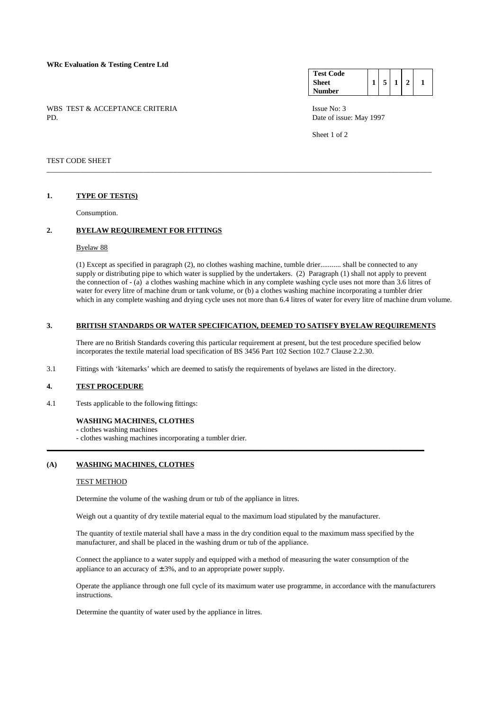# **WRc Evaluation & Testing Centre Ltd**

WBS TEST & ACCEPTANCE CRITERIA ISSUE No: 3<br>PD Date of issue

#### **Test Code Sheet Number**   $1 \mid 5 \mid 1 \mid 2 \mid 1$

Date of issue: May 1997

Sheet 1 of 2

## TEST CODE SHEET

# **1. TYPE OF TEST(S)**

Consumption.

# **2. BYELAW REQUIREMENT FOR FITTINGS**

#### Byelaw 88

 (1) Except as specified in paragraph (2), no clothes washing machine, tumble drier........... shall be connected to any supply or distributing pipe to which water is supplied by the undertakers. (2) Paragraph (1) shall not apply to prevent the connection of - (a) a clothes washing machine which in any complete washing cycle uses not more than 3.6 litres of water for every litre of machine drum or tank volume, or (b) a clothes washing machine incorporating a tumbler drier which in any complete washing and drying cycle uses not more than 6.4 litres of water for every litre of machine drum volume.

# **3. BRITISH STANDARDS OR WATER SPECIFICATION, DEEMED TO SATISFY BYELAW REQUIREMENTS**

\_\_\_\_\_\_\_\_\_\_\_\_\_\_\_\_\_\_\_\_\_\_\_\_\_\_\_\_\_\_\_\_\_\_\_\_\_\_\_\_\_\_\_\_\_\_\_\_\_\_\_\_\_\_\_\_\_\_\_\_\_\_\_\_\_\_\_\_\_\_\_\_\_\_\_\_\_\_\_\_\_\_\_\_\_\_\_\_\_\_\_\_\_\_\_\_\_\_\_\_\_\_\_

 There are no British Standards covering this particular requirement at present, but the test procedure specified below incorporates the textile material load specification of BS 3456 Part 102 Section 102.7 Clause 2.2.30.

3.1 Fittings with 'kitemarks' which are deemed to satisfy the requirements of byelaws are listed in the directory.

#### **4. TEST PROCEDURE**

4.1 Tests applicable to the following fittings:

# **WASHING MACHINES, CLOTHES**

#### **-** clothes washing machines

- clothes washing machines incorporating a tumbler drier.

### **(A) WASHING MACHINES, CLOTHES**

#### TEST METHOD

Determine the volume of the washing drum or tub of the appliance in litres.

Weigh out a quantity of dry textile material equal to the maximum load stipulated by the manufacturer.

**\_\_\_\_\_\_\_\_\_\_\_\_\_\_\_\_\_\_\_\_\_\_\_\_\_\_\_\_\_\_\_\_\_\_\_\_\_\_\_\_\_\_\_\_\_\_\_\_\_\_\_\_\_\_\_\_\_\_\_\_\_\_\_\_\_\_\_\_\_\_\_\_\_\_\_\_\_\_\_\_\_\_\_\_\_\_\_\_\_\_\_\_\_\_\_\_\_\_\_\_\_**

 The quantity of textile material shall have a mass in the dry condition equal to the maximum mass specified by the manufacturer, and shall be placed in the washing drum or tub of the appliance.

 Connect the appliance to a water supply and equipped with a method of measuring the water consumption of the appliance to an accuracy of  $\pm 3\%$ , and to an appropriate power supply.

 Operate the appliance through one full cycle of its maximum water use programme, in accordance with the manufacturers instructions.

Determine the quantity of water used by the appliance in litres.